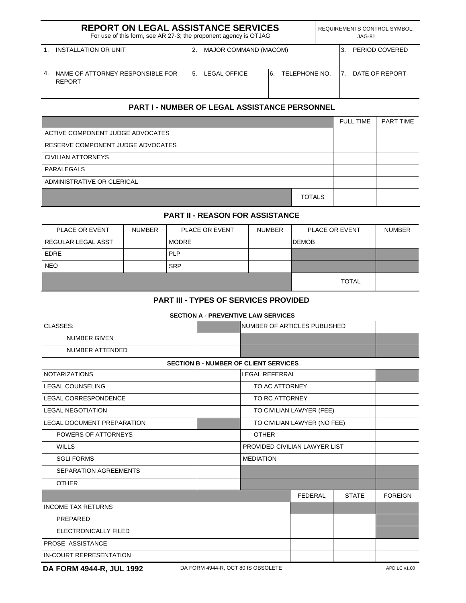|    | <b>REPORT ON LEGAL ASSISTANCE SERVICES</b><br>For use of this form, see AR 27-3; the proponent agency is OTJAG | <b>REQUIREMENTS CONTROL SYMBOL:</b><br>$JAG-81$ |                       |    |               |  |                 |                |
|----|----------------------------------------------------------------------------------------------------------------|-------------------------------------------------|-----------------------|----|---------------|--|-----------------|----------------|
|    | INSTALLATION OR UNIT                                                                                           |                                                 | MAJOR COMMAND (MACOM) |    |               |  |                 | PERIOD COVERED |
| 4. | NAME OF ATTORNEY RESPONSIBLE FOR<br><b>REPORT</b>                                                              | 5.                                              | LEGAL OFFICE          | ჩ. | TELEPHONE NO. |  | 17 <sub>1</sub> | DATE OF REPORT |

## **PART I - NUMBER OF LEGAL ASSISTANCE PERSONNEL**

|                                   |               | <b>FULL TIME</b> | PART TIME |
|-----------------------------------|---------------|------------------|-----------|
| ACTIVE COMPONENT JUDGE ADVOCATES  |               |                  |           |
| RESERVE COMPONENT JUDGE ADVOCATES |               |                  |           |
| CIVILIAN ATTORNEYS                |               |                  |           |
| PARALEGALS                        |               |                  |           |
| ADMINISTRATIVE OR CLERICAL        |               |                  |           |
|                                   | <b>TOTALS</b> |                  |           |

# **PART II - REASON FOR ASSISTANCE**

| PLACE OR EVENT     | <b>NUMBER</b> | <b>PLACE OR EVENT</b> | <b>NUMBER</b> | PLACE OR EVENT | <b>NUMBER</b> |
|--------------------|---------------|-----------------------|---------------|----------------|---------------|
| REGULAR LEGAL ASST |               | <b>MODRE</b>          |               | <b>I</b> DEMOB |               |
| <b>EDRE</b>        |               | <b>PLP</b>            |               |                |               |
| <b>NEO</b>         |               | <b>SRP</b>            |               |                |               |
|                    |               |                       |               | <b>TOTAL</b>   |               |

### **PART III - TYPES OF SERVICES PROVIDED**

| <b>SECTION A - PREVENTIVE LAW SERVICES</b>   |                               |                       |                |              |                |  |  |  |  |  |
|----------------------------------------------|-------------------------------|-----------------------|----------------|--------------|----------------|--|--|--|--|--|
| CLASSES:                                     | NUMBER OF ARTICLES PUBLISHED  |                       |                |              |                |  |  |  |  |  |
| <b>NUMBER GIVEN</b>                          |                               |                       |                |              |                |  |  |  |  |  |
| <b>NUMBER ATTENDED</b>                       |                               |                       |                |              |                |  |  |  |  |  |
| <b>SECTION B - NUMBER OF CLIENT SERVICES</b> |                               |                       |                |              |                |  |  |  |  |  |
| <b>NOTARIZATIONS</b>                         |                               | <b>LEGAL REFERRAL</b> |                |              |                |  |  |  |  |  |
| <b>LEGAL COUNSELING</b>                      | TO AC ATTORNEY                |                       |                |              |                |  |  |  |  |  |
| <b>LEGAL CORRESPONDENCE</b>                  |                               | TO RC ATTORNEY        |                |              |                |  |  |  |  |  |
| <b>LEGAL NEGOTIATION</b>                     | TO CIVILIAN LAWYER (FEE)      |                       |                |              |                |  |  |  |  |  |
| <b>LEGAL DOCUMENT PREPARATION</b>            | TO CIVILIAN LAWYER (NO FEE)   |                       |                |              |                |  |  |  |  |  |
| POWERS OF ATTORNEYS                          | <b>OTHER</b>                  |                       |                |              |                |  |  |  |  |  |
| <b>WILLS</b>                                 | PROVIDED CIVILIAN LAWYER LIST |                       |                |              |                |  |  |  |  |  |
| <b>SGLI FORMS</b>                            | <b>MEDIATION</b>              |                       |                |              |                |  |  |  |  |  |
| <b>SEPARATION AGREEMENTS</b>                 |                               |                       |                |              |                |  |  |  |  |  |
| <b>OTHER</b>                                 |                               |                       |                |              |                |  |  |  |  |  |
|                                              |                               |                       | <b>FEDERAL</b> | <b>STATE</b> | <b>FOREIGN</b> |  |  |  |  |  |
| <b>INCOME TAX RETURNS</b>                    |                               |                       |                |              |                |  |  |  |  |  |
| PREPARED                                     |                               |                       |                |              |                |  |  |  |  |  |
| ELECTRONICALLY FILED                         |                               |                       |                |              |                |  |  |  |  |  |
| PROSE ASSISTANCE                             |                               |                       |                |              |                |  |  |  |  |  |
| IN-COURT REPRESENTATION                      |                               |                       |                |              |                |  |  |  |  |  |